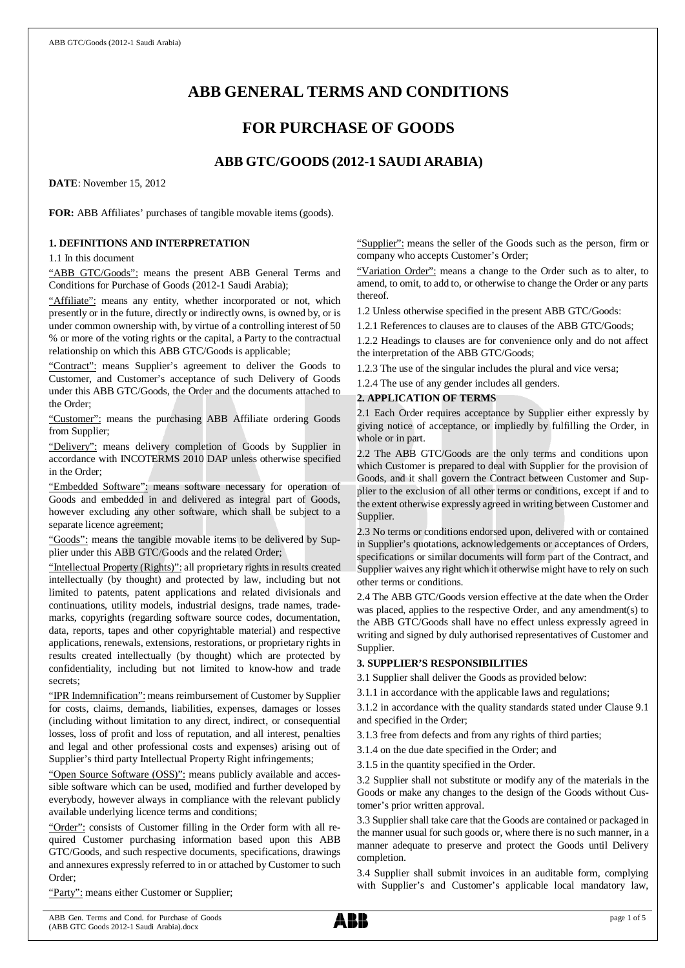# **ABB GENERAL TERMS AND CONDITIONS**

# **FOR PURCHASE OF GOODS**

# **ABB GTC/GOODS (2012-1 SAUDI ARABIA)**

**DATE**: November 15, 2012

**FOR:** ABB Affiliates' purchases of tangible movable items (goods).

### **1. DEFINITIONS AND INTERPRETATION**

1.1 In this document

"ABB GTC/Goods": means the present ABB General Terms and Conditions for Purchase of Goods (2012-1 Saudi Arabia);

"Affiliate": means any entity, whether incorporated or not, which presently or in the future, directly or indirectly owns, is owned by, or is under common ownership with, by virtue of a controlling interest of 50 % or more of the voting rights or the capital, a Party to the contractual relationship on which this ABB GTC/Goods is applicable;

"Contract": means Supplier's agreement to deliver the Goods to Customer, and Customer's acceptance of such Delivery of Goods under this ABB GTC/Goods, the Order and the documents attached to the Order;

"Customer": means the purchasing ABB Affiliate ordering Goods from Supplier;

"Delivery": means delivery completion of Goods by Supplier in accordance with INCOTERMS 2010 DAP unless otherwise specified in the Order;

"Embedded Software": means software necessary for operation of Goods and embedded in and delivered as integral part of Goods, however excluding any other software, which shall be subject to a separate licence agreement;

"Goods": means the tangible movable items to be delivered by Supplier under this ABB GTC/Goods and the related Order;

"Intellectual Property (Rights)": all proprietary rights in results created intellectually (by thought) and protected by law, including but not limited to patents, patent applications and related divisionals and continuations, utility models, industrial designs, trade names, trademarks, copyrights (regarding software source codes, documentation, data, reports, tapes and other copyrightable material) and respective applications, renewals, extensions, restorations, or proprietary rights in results created intellectually (by thought) which are protected by confidentiality, including but not limited to know-how and trade secrets;

"IPR Indemnification": means reimbursement of Customer by Supplier for costs, claims, demands, liabilities, expenses, damages or losses (including without limitation to any direct, indirect, or consequential losses, loss of profit and loss of reputation, and all interest, penalties and legal and other professional costs and expenses) arising out of Supplier's third party Intellectual Property Right infringements;

"Open Source Software (OSS)": means publicly available and accessible software which can be used, modified and further developed by everybody, however always in compliance with the relevant publicly available underlying licence terms and conditions;

"Order": consists of Customer filling in the Order form with all required Customer purchasing information based upon this ABB GTC/Goods, and such respective documents, specifications, drawings and annexures expressly referred to in or attached by Customer to such Order;

"Party": means either Customer or Supplier;

"Supplier": means the seller of the Goods such as the person, firm or company who accepts Customer's Order;

"Variation Order": means a change to the Order such as to alter, to amend, to omit, to add to, or otherwise to change the Order or any parts thereof.

1.2 Unless otherwise specified in the present ABB GTC/Goods:

1.2.1 References to clauses are to clauses of the ABB GTC/Goods;

1.2.2 Headings to clauses are for convenience only and do not affect the interpretation of the ABB GTC/Goods;

1.2.3 The use of the singular includes the plural and vice versa;

1.2.4 The use of any gender includes all genders.

# **2. APPLICATION OF TERMS**

2.1 Each Order requires acceptance by Supplier either expressly by giving notice of acceptance, or impliedly by fulfilling the Order, in whole or in part.

2.2 The ABB GTC/Goods are the only terms and conditions upon which Customer is prepared to deal with Supplier for the provision of Goods, and it shall govern the Contract between Customer and Supplier to the exclusion of all other terms or conditions, except if and to the extent otherwise expressly agreed in writing between Customer and Supplier.

2.3 No terms or conditions endorsed upon, delivered with or contained in Supplier's quotations, acknowledgements or acceptances of Orders, specifications or similar documents will form part of the Contract, and Supplier waives any right which it otherwise might have to rely on such other terms or conditions.

2.4 The ABB GTC/Goods version effective at the date when the Order was placed, applies to the respective Order, and any amendment(s) to the ABB GTC/Goods shall have no effect unless expressly agreed in writing and signed by duly authorised representatives of Customer and Supplier.

# **3. SUPPLIER'S RESPONSIBILITIES**

3.1 Supplier shall deliver the Goods as provided below:

3.1.1 in accordance with the applicable laws and regulations;

3.1.2 in accordance with the quality standards stated under Clause 9.1 and specified in the Order;

3.1.3 free from defects and from any rights of third parties;

3.1.4 on the due date specified in the Order; and

3.1.5 in the quantity specified in the Order.

3.2 Supplier shall not substitute or modify any of the materials in the Goods or make any changes to the design of the Goods without Customer's prior written approval.

3.3 Supplier shall take care that the Goods are contained or packaged in the manner usual for such goods or, where there is no such manner, in a manner adequate to preserve and protect the Goods until Delivery completion.

3.4 Supplier shall submit invoices in an auditable form, complying with Supplier's and Customer's applicable local mandatory law,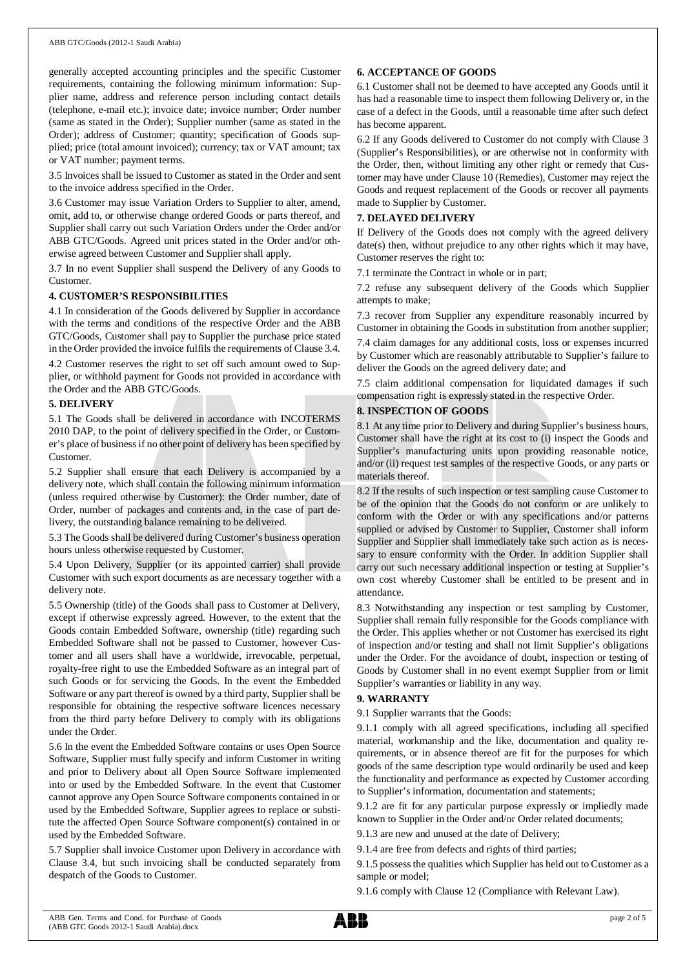generally accepted accounting principles and the specific Customer requirements, containing the following minimum information: Supplier name, address and reference person including contact details (telephone, e-mail etc.); invoice date; invoice number; Order number (same as stated in the Order); Supplier number (same as stated in the Order); address of Customer; quantity; specification of Goods supplied; price (total amount invoiced); currency; tax or VAT amount; tax or VAT number; payment terms.

3.5 Invoices shall be issued to Customer as stated in the Order and sent to the invoice address specified in the Order.

3.6 Customer may issue Variation Orders to Supplier to alter, amend, omit, add to, or otherwise change ordered Goods or parts thereof, and Supplier shall carry out such Variation Orders under the Order and/or ABB GTC/Goods. Agreed unit prices stated in the Order and/or otherwise agreed between Customer and Supplier shall apply.

3.7 In no event Supplier shall suspend the Delivery of any Goods to Customer.

### **4. CUSTOMER'S RESPONSIBILITIES**

4.1 In consideration of the Goods delivered by Supplier in accordance with the terms and conditions of the respective Order and the ABB GTC/Goods, Customer shall pay to Supplier the purchase price stated in the Order provided the invoice fulfils the requirements of Clause 3.4.

4.2 Customer reserves the right to set off such amount owed to Supplier, or withhold payment for Goods not provided in accordance with the Order and the ABB GTC/Goods.

### **5. DELIVERY**

5.1 The Goods shall be delivered in accordance with INCOTERMS 2010 DAP, to the point of delivery specified in the Order, or Customer's place of business if no other point of delivery has been specified by Customer.

5.2 Supplier shall ensure that each Delivery is accompanied by a delivery note, which shall contain the following minimum information (unless required otherwise by Customer): the Order number, date of Order, number of packages and contents and, in the case of part delivery, the outstanding balance remaining to be delivered.

5.3 The Goods shall be delivered during Customer's business operation hours unless otherwise requested by Customer.

5.4 Upon Delivery, Supplier (or its appointed carrier) shall provide Customer with such export documents as are necessary together with a delivery note.

5.5 Ownership (title) of the Goods shall pass to Customer at Delivery, except if otherwise expressly agreed. However, to the extent that the Goods contain Embedded Software, ownership (title) regarding such Embedded Software shall not be passed to Customer, however Customer and all users shall have a worldwide, irrevocable, perpetual, royalty-free right to use the Embedded Software as an integral part of such Goods or for servicing the Goods. In the event the Embedded Software or any part thereof is owned by a third party, Supplier shall be responsible for obtaining the respective software licences necessary from the third party before Delivery to comply with its obligations under the Order.

5.6 In the event the Embedded Software contains or uses Open Source Software, Supplier must fully specify and inform Customer in writing and prior to Delivery about all Open Source Software implemented into or used by the Embedded Software. In the event that Customer cannot approve any Open Source Software components contained in or used by the Embedded Software, Supplier agrees to replace or substitute the affected Open Source Software component(s) contained in or used by the Embedded Software.

5.7 Supplier shall invoice Customer upon Delivery in accordance with Clause 3.4, but such invoicing shall be conducted separately from despatch of the Goods to Customer.

### **6. ACCEPTANCE OF GOODS**

6.1 Customer shall not be deemed to have accepted any Goods until it has had a reasonable time to inspect them following Delivery or, in the case of a defect in the Goods, until a reasonable time after such defect has become apparent.

6.2 If any Goods delivered to Customer do not comply with Clause 3 (Supplier's Responsibilities), or are otherwise not in conformity with the Order, then, without limiting any other right or remedy that Customer may have under Clause 10 (Remedies), Customer may reject the Goods and request replacement of the Goods or recover all payments made to Supplier by Customer.

# **7. DELAYED DELIVERY**

If Delivery of the Goods does not comply with the agreed delivery date(s) then, without prejudice to any other rights which it may have, Customer reserves the right to:

7.1 terminate the Contract in whole or in part;

7.2 refuse any subsequent delivery of the Goods which Supplier attempts to make;

7.3 recover from Supplier any expenditure reasonably incurred by Customer in obtaining the Goods in substitution from another supplier;

7.4 claim damages for any additional costs, loss or expenses incurred by Customer which are reasonably attributable to Supplier's failure to deliver the Goods on the agreed delivery date; and

7.5 claim additional compensation for liquidated damages if such compensation right is expressly stated in the respective Order.

# **8. INSPECTION OF GOODS**

8.1 At any time prior to Delivery and during Supplier's business hours, Customer shall have the right at its cost to (i) inspect the Goods and Supplier's manufacturing units upon providing reasonable notice, and/or (ii) request test samples of the respective Goods, or any parts or materials thereof.

8.2 If the results of such inspection or test sampling cause Customer to be of the opinion that the Goods do not conform or are unlikely to conform with the Order or with any specifications and/or patterns supplied or advised by Customer to Supplier, Customer shall inform Supplier and Supplier shall immediately take such action as is necessary to ensure conformity with the Order. In addition Supplier shall carry out such necessary additional inspection or testing at Supplier's own cost whereby Customer shall be entitled to be present and in attendance.

8.3 Notwithstanding any inspection or test sampling by Customer, Supplier shall remain fully responsible for the Goods compliance with the Order. This applies whether or not Customer has exercised its right of inspection and/or testing and shall not limit Supplier's obligations under the Order. For the avoidance of doubt, inspection or testing of Goods by Customer shall in no event exempt Supplier from or limit Supplier's warranties or liability in any way.

# **9. WARRANTY**

9.1 Supplier warrants that the Goods:

9.1.1 comply with all agreed specifications, including all specified material, workmanship and the like, documentation and quality requirements, or in absence thereof are fit for the purposes for which goods of the same description type would ordinarily be used and keep the functionality and performance as expected by Customer according to Supplier's information, documentation and statements;

9.1.2 are fit for any particular purpose expressly or impliedly made known to Supplier in the Order and/or Order related documents;

9.1.3 are new and unused at the date of Delivery;

9.1.4 are free from defects and rights of third parties;

9.1.5 possess the qualities which Supplier has held out to Customer as a sample or model;

9.1.6 comply with Clause 12 (Compliance with Relevant Law).

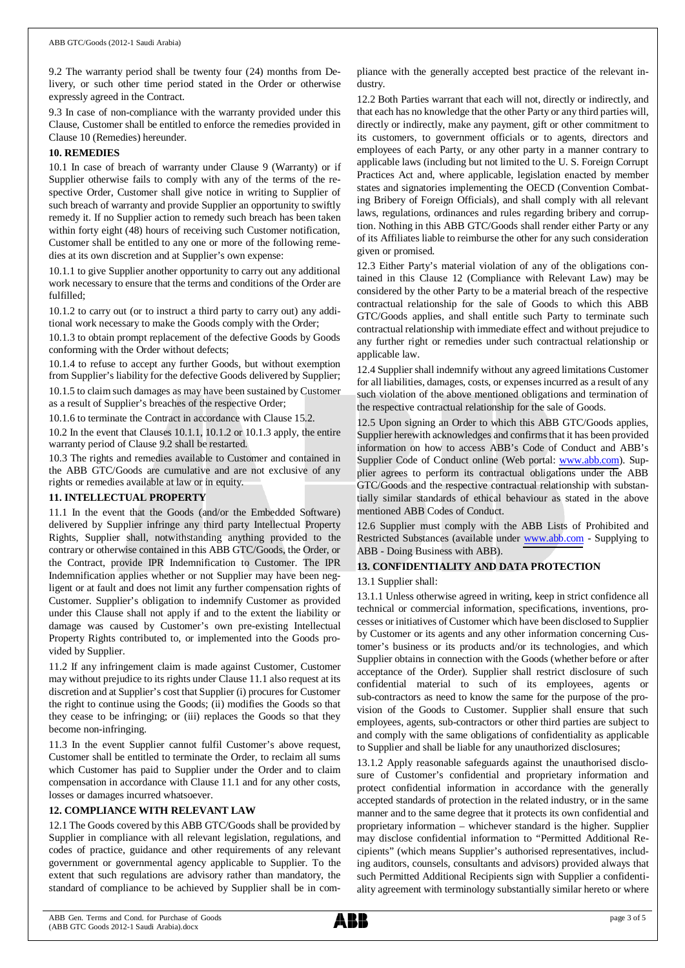9.2 The warranty period shall be twenty four (24) months from Delivery, or such other time period stated in the Order or otherwise expressly agreed in the Contract.

9.3 In case of non-compliance with the warranty provided under this Clause, Customer shall be entitled to enforce the remedies provided in Clause 10 (Remedies) hereunder.

### **10. REMEDIES**

10.1 In case of breach of warranty under Clause 9 (Warranty) or if Supplier otherwise fails to comply with any of the terms of the respective Order, Customer shall give notice in writing to Supplier of such breach of warranty and provide Supplier an opportunity to swiftly remedy it. If no Supplier action to remedy such breach has been taken within forty eight (48) hours of receiving such Customer notification, Customer shall be entitled to any one or more of the following remedies at its own discretion and at Supplier's own expense:

10.1.1 to give Supplier another opportunity to carry out any additional work necessary to ensure that the terms and conditions of the Order are fulfilled;

10.1.2 to carry out (or to instruct a third party to carry out) any additional work necessary to make the Goods comply with the Order;

10.1.3 to obtain prompt replacement of the defective Goods by Goods conforming with the Order without defects;

10.1.4 to refuse to accept any further Goods, but without exemption from Supplier's liability for the defective Goods delivered by Supplier;

10.1.5 to claim such damages as may have been sustained by Customer as a result of Supplier's breaches of the respective Order;

10.1.6 to terminate the Contract in accordance with Clause 15.2.

10.2 In the event that Clauses 10.1.1, 10.1.2 or 10.1.3 apply, the entire warranty period of Clause 9.2 shall be restarted.

10.3 The rights and remedies available to Customer and contained in the ABB GTC/Goods are cumulative and are not exclusive of any rights or remedies available at law or in equity.

# **11. INTELLECTUAL PROPERTY**

11.1 In the event that the Goods (and/or the Embedded Software) delivered by Supplier infringe any third party Intellectual Property Rights, Supplier shall, notwithstanding anything provided to the contrary or otherwise contained in this ABB GTC/Goods, the Order, or the Contract, provide IPR Indemnification to Customer. The IPR Indemnification applies whether or not Supplier may have been negligent or at fault and does not limit any further compensation rights of Customer. Supplier's obligation to indemnify Customer as provided under this Clause shall not apply if and to the extent the liability or damage was caused by Customer's own pre-existing Intellectual Property Rights contributed to, or implemented into the Goods provided by Supplier.

11.2 If any infringement claim is made against Customer, Customer may without prejudice to its rights under Clause 11.1 also request at its discretion and at Supplier's cost that Supplier (i) procures for Customer the right to continue using the Goods; (ii) modifies the Goods so that they cease to be infringing; or (iii) replaces the Goods so that they become non-infringing.

11.3 In the event Supplier cannot fulfil Customer's above request, Customer shall be entitled to terminate the Order, to reclaim all sums which Customer has paid to Supplier under the Order and to claim compensation in accordance with Clause 11.1 and for any other costs, losses or damages incurred whatsoever.

# **12. COMPLIANCE WITH RELEVANT LAW**

12.1 The Goods covered by this ABB GTC/Goods shall be provided by Supplier in compliance with all relevant legislation, regulations, and codes of practice, guidance and other requirements of any relevant government or governmental agency applicable to Supplier. To the extent that such regulations are advisory rather than mandatory, the standard of compliance to be achieved by Supplier shall be in compliance with the generally accepted best practice of the relevant industry.

12.2 Both Parties warrant that each will not, directly or indirectly, and that each has no knowledge that the other Party or any third parties will, directly or indirectly, make any payment, gift or other commitment to its customers, to government officials or to agents, directors and employees of each Party, or any other party in a manner contrary to applicable laws (including but not limited to the U. S. Foreign Corrupt Practices Act and, where applicable, legislation enacted by member states and signatories implementing the OECD (Convention Combating Bribery of Foreign Officials), and shall comply with all relevant laws, regulations, ordinances and rules regarding bribery and corruption. Nothing in this ABB GTC/Goods shall render either Party or any of its Affiliates liable to reimburse the other for any such consideration given or promised.

12.3 Either Party's material violation of any of the obligations contained in this Clause 12 (Compliance with Relevant Law) may be considered by the other Party to be a material breach of the respective contractual relationship for the sale of Goods to which this ABB GTC/Goods applies, and shall entitle such Party to terminate such contractual relationship with immediate effect and without prejudice to any further right or remedies under such contractual relationship or applicable law.

12.4 Supplier shall indemnify without any agreed limitations Customer for all liabilities, damages, costs, or expenses incurred as a result of any such violation of the above mentioned obligations and termination of the respective contractual relationship for the sale of Goods.

12.5 Upon signing an Order to which this ABB GTC/Goods applies, Supplier herewith acknowledges and confirms that it has been provided information on how to access ABB's Code of Conduct and ABB's Supplier Code of Conduct online (Web portal: [www.abb.com](http://www.abb.com/)). Supplier agrees to perform its contractual obligations under the ABB GTC/Goods and the respective contractual relationship with substantially similar standards of ethical behaviour as stated in the above mentioned ABB Codes of Conduct.

12.6 Supplier must comply with the ABB Lists of Prohibited and Restricted Substances (available under [www.abb.com](http://www.abb.com/) - Supplying to ABB - Doing Business with ABB).

# **13. CONFIDENTIALITY AND DATA PROTECTION**

# 13.1 Supplier shall:

13.1.1 Unless otherwise agreed in writing, keep in strict confidence all technical or commercial information, specifications, inventions, processes or initiatives of Customer which have been disclosed to Supplier by Customer or its agents and any other information concerning Customer's business or its products and/or its technologies, and which Supplier obtains in connection with the Goods (whether before or after acceptance of the Order). Supplier shall restrict disclosure of such confidential material to such of its employees, agents or sub-contractors as need to know the same for the purpose of the provision of the Goods to Customer. Supplier shall ensure that such employees, agents, sub-contractors or other third parties are subject to and comply with the same obligations of confidentiality as applicable to Supplier and shall be liable for any unauthorized disclosures;

13.1.2 Apply reasonable safeguards against the unauthorised disclosure of Customer's confidential and proprietary information and protect confidential information in accordance with the generally accepted standards of protection in the related industry, or in the same manner and to the same degree that it protects its own confidential and proprietary information – whichever standard is the higher. Supplier may disclose confidential information to "Permitted Additional Recipients" (which means Supplier's authorised representatives, including auditors, counsels, consultants and advisors) provided always that such Permitted Additional Recipients sign with Supplier a confidentiality agreement with terminology substantially similar hereto or where

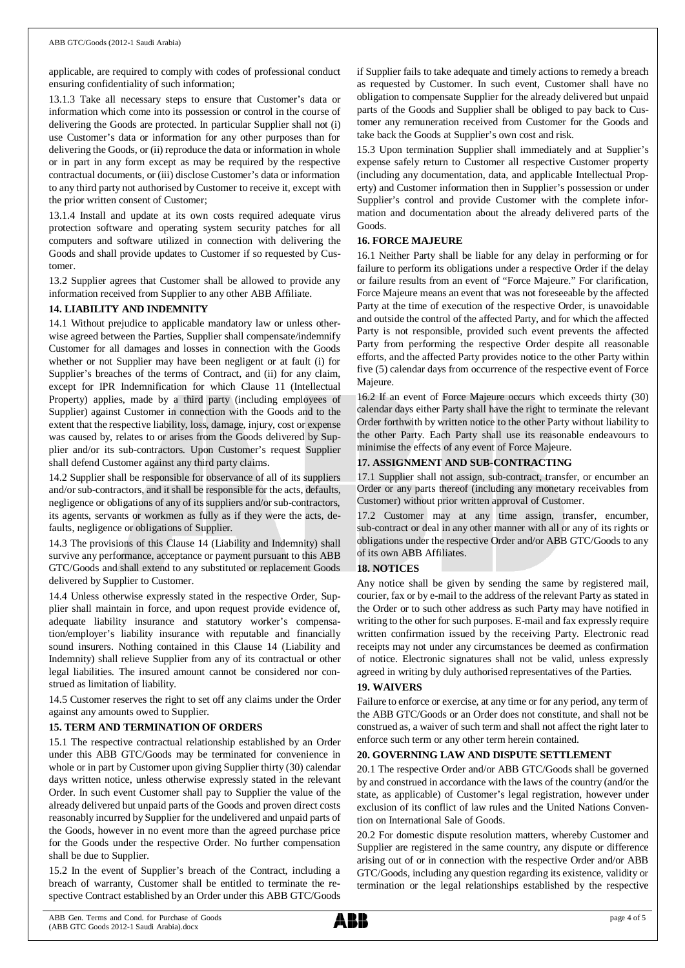applicable, are required to comply with codes of professional conduct ensuring confidentiality of such information;

13.1.3 Take all necessary steps to ensure that Customer's data or information which come into its possession or control in the course of delivering the Goods are protected. In particular Supplier shall not (i) use Customer's data or information for any other purposes than for delivering the Goods, or (ii) reproduce the data or information in whole or in part in any form except as may be required by the respective contractual documents, or (iii) disclose Customer's data or information to any third party not authorised by Customer to receive it, except with the prior written consent of Customer;

13.1.4 Install and update at its own costs required adequate virus protection software and operating system security patches for all computers and software utilized in connection with delivering the Goods and shall provide updates to Customer if so requested by Customer.

13.2 Supplier agrees that Customer shall be allowed to provide any information received from Supplier to any other ABB Affiliate.

### **14. LIABILITY AND INDEMNITY**

14.1 Without prejudice to applicable mandatory law or unless otherwise agreed between the Parties, Supplier shall compensate/indemnify Customer for all damages and losses in connection with the Goods whether or not Supplier may have been negligent or at fault (i) for Supplier's breaches of the terms of Contract, and (ii) for any claim, except for IPR Indemnification for which Clause 11 (Intellectual Property) applies, made by a third party (including employees of Supplier) against Customer in connection with the Goods and to the extent that the respective liability, loss, damage, injury, cost or expense was caused by, relates to or arises from the Goods delivered by Supplier and/or its sub-contractors. Upon Customer's request Supplier shall defend Customer against any third party claims.

14.2 Supplier shall be responsible for observance of all of its suppliers and/or sub-contractors, and it shall be responsible for the acts, defaults, negligence or obligations of any of its suppliers and/or sub-contractors, its agents, servants or workmen as fully as if they were the acts, defaults, negligence or obligations of Supplier.

14.3 The provisions of this Clause 14 (Liability and Indemnity) shall survive any performance, acceptance or payment pursuant to this ABB GTC/Goods and shall extend to any substituted or replacement Goods delivered by Supplier to Customer.

14.4 Unless otherwise expressly stated in the respective Order, Supplier shall maintain in force, and upon request provide evidence of, adequate liability insurance and statutory worker's compensation/employer's liability insurance with reputable and financially sound insurers. Nothing contained in this Clause 14 (Liability and Indemnity) shall relieve Supplier from any of its contractual or other legal liabilities. The insured amount cannot be considered nor construed as limitation of liability.

14.5 Customer reserves the right to set off any claims under the Order against any amounts owed to Supplier.

# **15. TERM AND TERMINATION OF ORDERS**

15.1 The respective contractual relationship established by an Order under this ABB GTC/Goods may be terminated for convenience in whole or in part by Customer upon giving Supplier thirty (30) calendar days written notice, unless otherwise expressly stated in the relevant Order. In such event Customer shall pay to Supplier the value of the already delivered but unpaid parts of the Goods and proven direct costs reasonably incurred by Supplier for the undelivered and unpaid parts of the Goods, however in no event more than the agreed purchase price for the Goods under the respective Order. No further compensation shall be due to Supplier.

15.2 In the event of Supplier's breach of the Contract, including a breach of warranty, Customer shall be entitled to terminate the respective Contract established by an Order under this ABB GTC/Goods

if Supplier fails to take adequate and timely actions to remedy a breach as requested by Customer. In such event, Customer shall have no obligation to compensate Supplier for the already delivered but unpaid parts of the Goods and Supplier shall be obliged to pay back to Customer any remuneration received from Customer for the Goods and take back the Goods at Supplier's own cost and risk.

15.3 Upon termination Supplier shall immediately and at Supplier's expense safely return to Customer all respective Customer property (including any documentation, data, and applicable Intellectual Property) and Customer information then in Supplier's possession or under Supplier's control and provide Customer with the complete information and documentation about the already delivered parts of the Goods.

### **16. FORCE MAJEURE**

16.1 Neither Party shall be liable for any delay in performing or for failure to perform its obligations under a respective Order if the delay or failure results from an event of "Force Majeure." For clarification, Force Majeure means an event that was not foreseeable by the affected Party at the time of execution of the respective Order, is unavoidable and outside the control of the affected Party, and for which the affected Party is not responsible, provided such event prevents the affected Party from performing the respective Order despite all reasonable efforts, and the affected Party provides notice to the other Party within five (5) calendar days from occurrence of the respective event of Force Majeure.

16.2 If an event of Force Majeure occurs which exceeds thirty (30) calendar days either Party shall have the right to terminate the relevant Order forthwith by written notice to the other Party without liability to the other Party. Each Party shall use its reasonable endeavours to minimise the effects of any event of Force Majeure.

# **17. ASSIGNMENT AND SUB-CONTRACTING**

17.1 Supplier shall not assign, sub-contract, transfer, or encumber an Order or any parts thereof (including any monetary receivables from Customer) without prior written approval of Customer.

17.2 Customer may at any time assign, transfer, encumber, sub-contract or deal in any other manner with all or any of its rights or obligations under the respective Order and/or ABB GTC/Goods to any of its own ABB Affiliates.

### **18. NOTICES**

Any notice shall be given by sending the same by registered mail, courier, fax or by e-mail to the address of the relevant Party as stated in the Order or to such other address as such Party may have notified in writing to the other for such purposes. E-mail and fax expressly require written confirmation issued by the receiving Party. Electronic read receipts may not under any circumstances be deemed as confirmation of notice. Electronic signatures shall not be valid, unless expressly agreed in writing by duly authorised representatives of the Parties.

# **19. WAIVERS**

Failure to enforce or exercise, at any time or for any period, any term of the ABB GTC/Goods or an Order does not constitute, and shall not be construed as, a waiver of such term and shall not affect the right later to enforce such term or any other term herein contained.

# **20. GOVERNING LAW AND DISPUTE SETTLEMENT**

20.1 The respective Order and/or ABB GTC/Goods shall be governed by and construed in accordance with the laws of the country (and/or the state, as applicable) of Customer's legal registration, however under exclusion of its conflict of law rules and the United Nations Convention on International Sale of Goods.

20.2 For domestic dispute resolution matters, whereby Customer and Supplier are registered in the same country, any dispute or difference arising out of or in connection with the respective Order and/or ABB GTC/Goods, including any question regarding its existence, validity or termination or the legal relationships established by the respective